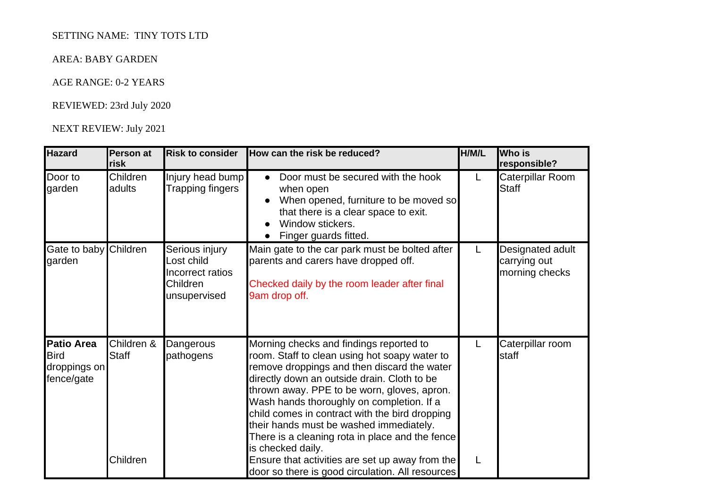# SETTING NAME: TINY TOTS LTD

## AREA: BABY GARDEN

## AGE RANGE: 0-2 YEARS

### REVIEWED: 23rd July 2020

### NEXT REVIEW: July 2021

| <b>Hazard</b>                                                  | Person at<br><b>risk</b>               | <b>Risk to consider</b>                                                      | How can the risk be reduced?                                                                                                                                                                                                                                                                                                                                                                                                                                                                                                                                   | H/M/L  | <b>Who is</b><br>responsible?                      |
|----------------------------------------------------------------|----------------------------------------|------------------------------------------------------------------------------|----------------------------------------------------------------------------------------------------------------------------------------------------------------------------------------------------------------------------------------------------------------------------------------------------------------------------------------------------------------------------------------------------------------------------------------------------------------------------------------------------------------------------------------------------------------|--------|----------------------------------------------------|
| Door to<br>garden                                              | Children<br>adults                     | Injury head bump<br>Trapping fingers                                         | Door must be secured with the hook<br>$\bullet$<br>when open<br>When opened, furniture to be moved so<br>that there is a clear space to exit.<br>Window stickers.<br>Finger guards fitted.                                                                                                                                                                                                                                                                                                                                                                     | L.     | Caterpillar Room<br><b>Staff</b>                   |
| Gate to baby Children<br>garden                                |                                        | Serious injury<br>Lost child<br>Incorrect ratios<br>Children<br>unsupervised | Main gate to the car park must be bolted after<br>parents and carers have dropped off.<br>Checked daily by the room leader after final<br>9am drop off.                                                                                                                                                                                                                                                                                                                                                                                                        | L      | Designated adult<br>carrying out<br>morning checks |
| <b>Patio Area</b><br><b>Bird</b><br>droppings on<br>fence/gate | Children &<br><b>Staff</b><br>Children | Dangerous<br>pathogens                                                       | Morning checks and findings reported to<br>room. Staff to clean using hot soapy water to<br>remove droppings and then discard the water<br>directly down an outside drain. Cloth to be<br>thrown away. PPE to be worn, gloves, apron.<br>Wash hands thoroughly on completion. If a<br>child comes in contract with the bird dropping<br>their hands must be washed immediately.<br>There is a cleaning rota in place and the fence<br>is checked daily.<br>Ensure that activities are set up away from the<br>door so there is good circulation. All resources | L<br>L | Caterpillar room<br>staff                          |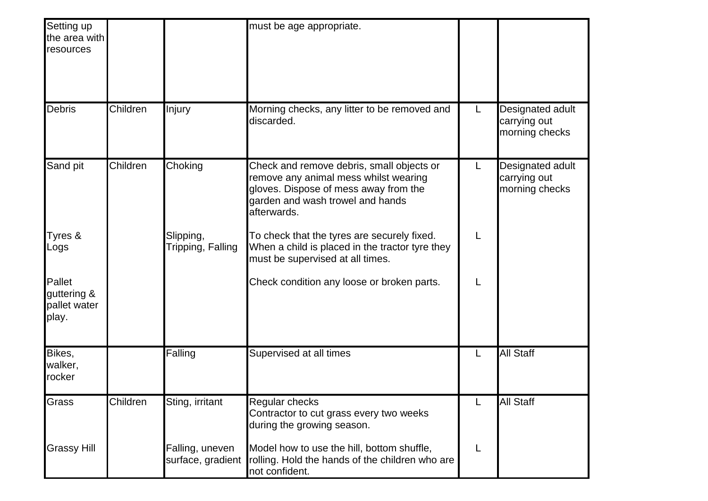| Setting up<br>the area with<br>resources       |          |                                      | must be age appropriate.                                                                                                                                                       |    |                                                    |
|------------------------------------------------|----------|--------------------------------------|--------------------------------------------------------------------------------------------------------------------------------------------------------------------------------|----|----------------------------------------------------|
| <b>Debris</b>                                  | Children | Injury                               | Morning checks, any litter to be removed and<br>discarded.                                                                                                                     | L. | Designated adult<br>carrying out<br>morning checks |
| Sand pit                                       | Children | Choking                              | Check and remove debris, small objects or<br>remove any animal mess whilst wearing<br>gloves. Dispose of mess away from the<br>garden and wash trowel and hands<br>afterwards. | L  | Designated adult<br>carrying out<br>morning checks |
| Tyres &<br>Logs                                |          | Slipping,<br>Tripping, Falling       | To check that the tyres are securely fixed.<br>When a child is placed in the tractor tyre they<br>must be supervised at all times.                                             | L  |                                                    |
| Pallet<br>guttering &<br>pallet water<br>play. |          |                                      | Check condition any loose or broken parts.                                                                                                                                     | L  |                                                    |
| Bikes,<br>walker,<br>rocker                    |          | Falling                              | Supervised at all times                                                                                                                                                        | L  | <b>All Staff</b>                                   |
| Grass                                          | Children | Sting, irritant                      | <b>Regular checks</b><br>Contractor to cut grass every two weeks<br>during the growing season.                                                                                 | L  | <b>All Staff</b>                                   |
| <b>Grassy Hill</b>                             |          | Falling, uneven<br>surface, gradient | Model how to use the hill, bottom shuffle,<br>rolling. Hold the hands of the children who are<br>not confident.                                                                | L  |                                                    |